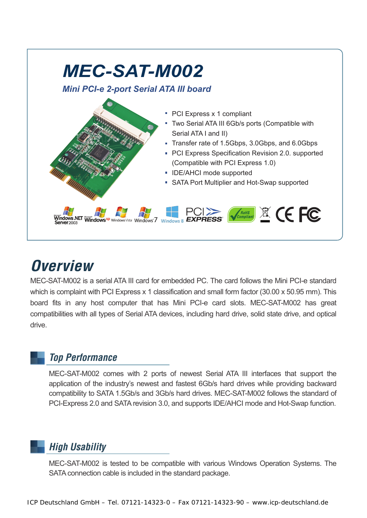

# *Overview*

MEC-SAT-M002 is a serial ATA III card for embedded PC. The card follows the Mini PCI-e standard which is complaint with PCI Express x 1 classification and small form factor (30.00 x 50.95 mm). This board fits in any host computer that has Mini PCI-e card slots. MEC-SAT-M002 has great compatibilities with all types of Serial ATA devices, including hard drive, solid state drive, and optical drive.

## *Top Performance*

MEC-SAT-M002 comes with 2 ports of newest Serial ATA III interfaces that support the application of the industry's newest and fastest 6Gb/s hard drives while providing backward compatibility to SATA 1.5Gb/s and 3Gb/s hard drives. MEC-SAT-M002 follows the standard of PCI-Express 2.0 and SATA revision 3.0, and supports IDE/AHCI mode and Hot-Swap function.

## *High Usability*

MEC-SAT-M002 is tested to be compatible with various Windows Operation Systems. The SATA connection cable is included in the standard package.